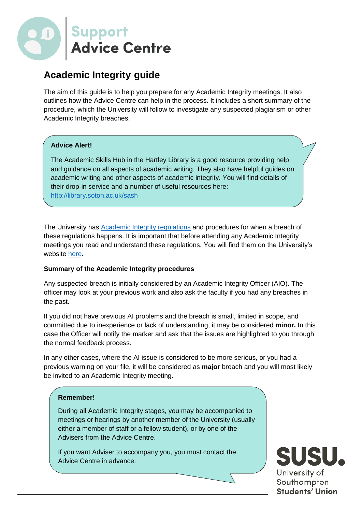

# **Academic Integrity guide**

The aim of this guide is to help you prepare for any Academic Integrity meetings. It also outlines how the Advice Centre can help in the process. It includes a short summary of the procedure, which the University will follow to investigate any suspected plagiarism or other Academic Integrity breaches.

## **Advice Alert!**

The Academic Skills Hub in the Hartley Library is a good resource providing help and guidance on all aspects of academic writing. They also have helpful guides on academic writing and other aspects of academic integrity. You will find details of their drop-in service and a number of useful resources here: <http://library.soton.ac.uk/sash>

The University has **Academic Integrity regulations** and procedures for when a breach of these regulations happens. It is important that before attending any Academic Integrity meetings you read and understand these regulations. You will find them on the University's website [here.](http://www.southampton.ac.uk/assets/sharepoint/intranet/calendar/publicdocuments/Academic%20Integrity%20Regulations.pdf)

## **Summary of the Academic Integrity procedures**

Any suspected breach is initially considered by an Academic Integrity Officer (AIO). The officer may look at your previous work and also ask the faculty if you had any breaches in the past.

If you did not have previous AI problems and the breach is small, limited in scope, and committed due to inexperience or lack of understanding, it may be considered **minor.** In this case the Officer will notify the marker and ask that the issues are highlighted to you through the normal feedback process.

In any other cases, where the AI issue is considered to be more serious, or you had a previous warning on your file, it will be considered as **major** breach and you will most likely be invited to an Academic Integrity meeting.

## **Remember!**

During all Academic Integrity stages, you may be accompanied to meetings or hearings by another member of the University (usually either a member of staff or a fellow student), or by one of the Advisers from the Advice Centre.

If you want Adviser to accompany you, you must contact the Advice Centre in advance.

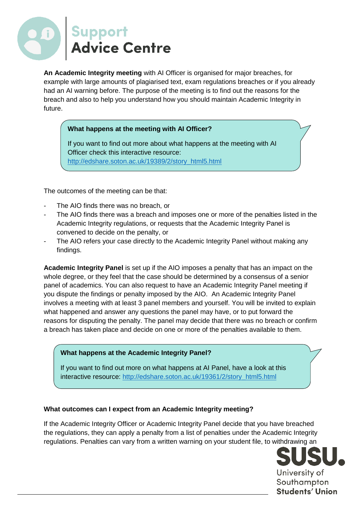

**An Academic Integrity meeting** with AI Officer is organised for major breaches, for example with large amounts of plagiarised text, exam regulations breaches or if you already had an AI warning before. The purpose of the meeting is to find out the reasons for the breach and also to help you understand how you should maintain Academic Integrity in future.

#### **What happens at the meeting with AI Officer?**

If you want to find out more about what happens at the meeting with AI Officer check this interactive resource: [http://edshare.soton.ac.uk/19389/2/story\\_html5.html](http://edshare.soton.ac.uk/19389/2/story_html5.html)

The outcomes of the meeting can be that:

- The AIO finds there was no breach, or
- The AIO finds there was a breach and imposes one or more of the penalties listed in the Academic Integrity regulations, or requests that the Academic Integrity Panel is convened to decide on the penalty, or
- The AIO refers your case directly to the Academic Integrity Panel without making any findings.

**Academic Integrity Panel** is set up if the AIO imposes a penalty that has an impact on the whole degree, or they feel that the case should be determined by a consensus of a senior panel of academics. You can also request to have an Academic Integrity Panel meeting if you dispute the findings or penalty imposed by the AIO. An Academic Integrity Panel involves a meeting with at least 3 panel members and yourself. You will be invited to explain what happened and answer any questions the panel may have, or to put forward the reasons for disputing the penalty. The panel may decide that there was no breach or confirm a breach has taken place and decide on one or more of the penalties available to them.

#### **What happens at the Academic Integrity Panel?**

If you want to find out more on what happens at AI Panel, have a look at this interactive resource: [http://edshare.soton.ac.uk/19361/2/story\\_html5.html](http://edshare.soton.ac.uk/19361/2/story_html5.html)

#### **What outcomes can I expect from an Academic Integrity meeting?**

If the Academic Integrity Officer or Academic Integrity Panel decide that you have breached the regulations, they can apply a penalty from a list of penalties under the Academic Integrity regulations. Penalties can vary from a written warning on your student file, to withdrawing an

> University of Southampton Students' Union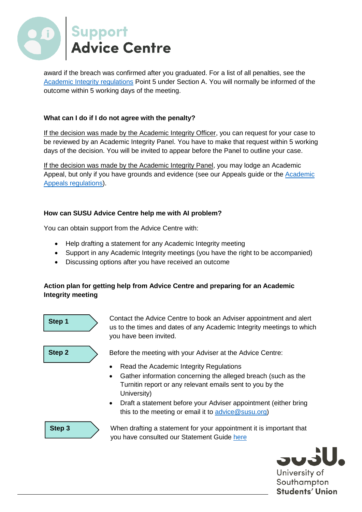

award if the breach was confirmed after you graduated. For a list of all penalties, see the [Academic Integrity regulations](http://www.southampton.ac.uk/assets/sharepoint/intranet/calendar/publicdocuments/Academic%20Integrity%20Regulations.pdf) Point 5 under Section A. You will normally be informed of the outcome within 5 working days of the meeting.

## **What can I do if I do not agree with the penalty?**

If the decision was made by the Academic Integrity Officer, you can request for your case to be reviewed by an Academic Integrity Panel. You have to make that request within 5 working days of the decision. You will be invited to appear before the Panel to outline your case.

If the decision was made by the Academic Integrity Panel, you may lodge an Academic Appeal, but only if you have grounds and evidence (see our Appeals guide or the **Academic** [Appeals regulations\)](http://www.southampton.ac.uk/assets/sharepoint/intranet/calendar/publicdocuments/Regulations%20Governing%20Academic%20Appeals%20by%20Students.pdf).

## **How can SUSU Advice Centre help me with AI problem?**

You can obtain support from the Advice Centre with:

- Help drafting a statement for any Academic Integrity meeting
- Support in any Academic Integrity meetings (you have the right to be accompanied)
- Discussing options after you have received an outcome

## **Action plan for getting help from Advice Centre and preparing for an Academic Integrity meeting**